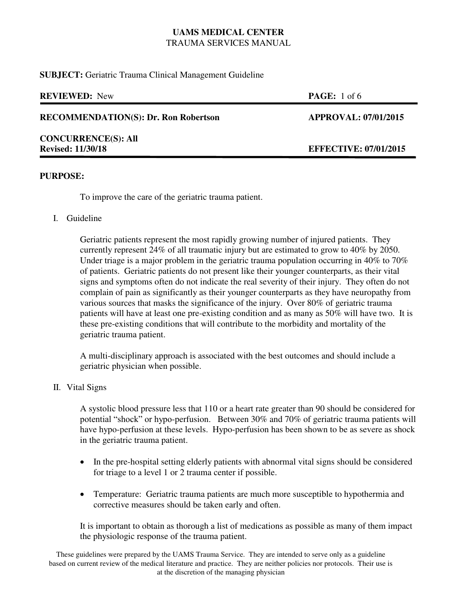**SUBJECT:** Geriatric Trauma Clinical Management Guideline

| <b>REVIEWED:</b> New                                   | <b>PAGE:</b> 1 of 6          |
|--------------------------------------------------------|------------------------------|
| <b>RECOMMENDATION(S): Dr. Ron Robertson</b>            | <b>APPROVAL: 07/01/2015</b>  |
| <b>CONCURRENCE(S): All</b><br><b>Revised: 11/30/18</b> | <b>EFFECTIVE: 07/01/2015</b> |

#### **PURPOSE:**

To improve the care of the geriatric trauma patient.

I. Guideline

Geriatric patients represent the most rapidly growing number of injured patients. They currently represent 24% of all traumatic injury but are estimated to grow to 40% by 2050. Under triage is a major problem in the geriatric trauma population occurring in 40% to 70% of patients. Geriatric patients do not present like their younger counterparts, as their vital signs and symptoms often do not indicate the real severity of their injury. They often do not complain of pain as significantly as their younger counterparts as they have neuropathy from various sources that masks the significance of the injury. Over 80% of geriatric trauma patients will have at least one pre-existing condition and as many as 50% will have two. It is these pre-existing conditions that will contribute to the morbidity and mortality of the geriatric trauma patient.

A multi-disciplinary approach is associated with the best outcomes and should include a geriatric physician when possible.

II. Vital Signs

A systolic blood pressure less that 110 or a heart rate greater than 90 should be considered for potential "shock" or hypo-perfusion. Between 30% and 70% of geriatric trauma patients will have hypo-perfusion at these levels. Hypo-perfusion has been shown to be as severe as shock in the geriatric trauma patient.

- In the pre-hospital setting elderly patients with abnormal vital signs should be considered for triage to a level 1 or 2 trauma center if possible.
- Temperature: Geriatric trauma patients are much more susceptible to hypothermia and corrective measures should be taken early and often.

It is important to obtain as thorough a list of medications as possible as many of them impact the physiologic response of the trauma patient.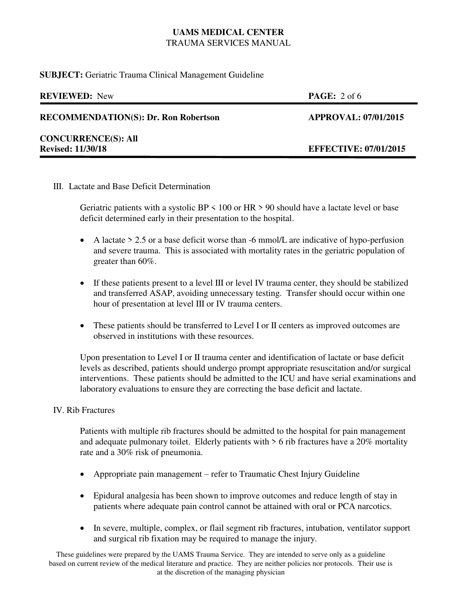**SUBJECT:** Geriatric Trauma Clinical Management Guideline

| <b>REVIEWED:</b> New                        | <b>PAGE:</b> $2$ of 6        |
|---------------------------------------------|------------------------------|
| <b>RECOMMENDATION(S): Dr. Ron Robertson</b> | <b>APPROVAL: 07/01/2015</b>  |
| <b>CONCURRENCE(S): All</b>                  |                              |
| <b>Revised: 11/30/18</b>                    | <b>EFFECTIVE: 07/01/2015</b> |
|                                             |                              |

III. Lactate and Base Deficit Determination

Geriatric patients with a systolic BP  $\leq$  100 or HR  $>$  90 should have a lactate level or base deficit determined early in their presentation to the hospital.

- A lactate  $> 2.5$  or a base deficit worse than -6 mmol/L are indicative of hypo-perfusion and severe trauma. This is associated with mortality rates in the geriatric population of greater than 60%.
- If these patients present to a level III or level IV trauma center, they should be stabilized and transferred ASAP, avoiding unnecessary testing. Transfer should occur within one hour of presentation at level III or IV trauma centers.
- These patients should be transferred to Level I or II centers as improved outcomes are observed in institutions with these resources.

Upon presentation to Level I or II trauma center and identification of lactate or base deficit levels as described, patients should undergo prompt appropriate resuscitation and/or surgical interventions. These patients should be admitted to the ICU and have serial examinations and laboratory evaluations to ensure they are correcting the base deficit and lactate.

## IV. Rib Fractures

Patients with multiple rib fractures should be admitted to the hospital for pain management and adequate pulmonary toilet. Elderly patients with  $> 6$  rib fractures have a 20% mortality rate and a 30% risk of pneumonia.

- Appropriate pain management refer to Traumatic Chest Injury Guideline
- Epidural analgesia has been shown to improve outcomes and reduce length of stay in patients where adequate pain control cannot be attained with oral or PCA narcotics.
- In severe, multiple, complex, or flail segment rib fractures, intubation, ventilator support and surgical rib fixation may be required to manage the injury.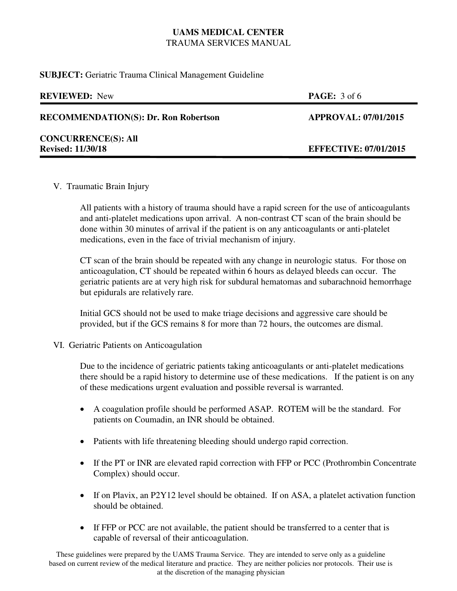**SUBJECT:** Geriatric Trauma Clinical Management Guideline

| <b>REVIEWED:</b> New                        | <b>PAGE:</b> $3$ of 6        |
|---------------------------------------------|------------------------------|
| <b>RECOMMENDATION(S): Dr. Ron Robertson</b> | <b>APPROVAL: 07/01/2015</b>  |
| <b>CONCURRENCE(S): All</b>                  |                              |
| <b>Revised: 11/30/18</b>                    | <b>EFFECTIVE: 07/01/2015</b> |
|                                             |                              |

V. Traumatic Brain Injury

All patients with a history of trauma should have a rapid screen for the use of anticoagulants and anti-platelet medications upon arrival. A non-contrast CT scan of the brain should be done within 30 minutes of arrival if the patient is on any anticoagulants or anti-platelet medications, even in the face of trivial mechanism of injury.

CT scan of the brain should be repeated with any change in neurologic status. For those on anticoagulation, CT should be repeated within 6 hours as delayed bleeds can occur. The geriatric patients are at very high risk for subdural hematomas and subarachnoid hemorrhage but epidurals are relatively rare.

Initial GCS should not be used to make triage decisions and aggressive care should be provided, but if the GCS remains 8 for more than 72 hours, the outcomes are dismal.

## VI. Geriatric Patients on Anticoagulation

Due to the incidence of geriatric patients taking anticoagulants or anti-platelet medications there should be a rapid history to determine use of these medications. If the patient is on any of these medications urgent evaluation and possible reversal is warranted.

- A coagulation profile should be performed ASAP. ROTEM will be the standard. For patients on Coumadin, an INR should be obtained.
- Patients with life threatening bleeding should undergo rapid correction.
- If the PT or INR are elevated rapid correction with FFP or PCC (Prothrombin Concentrate Complex) should occur.
- If on Plavix, an P2Y12 level should be obtained. If on ASA, a platelet activation function should be obtained.
- If FFP or PCC are not available, the patient should be transferred to a center that is capable of reversal of their anticoagulation.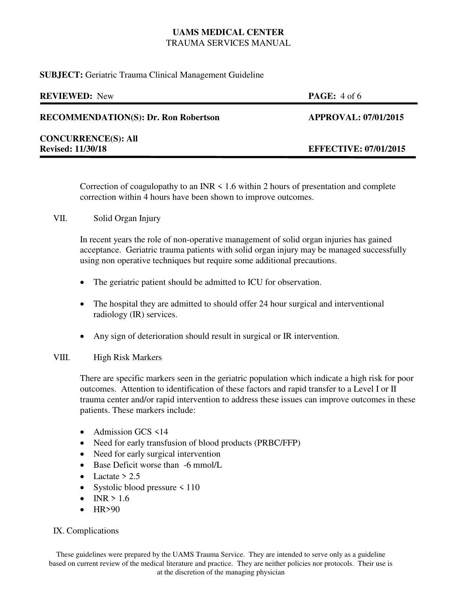**SUBJECT:** Geriatric Trauma Clinical Management Guideline

| <b>REVIEWED:</b> New                        | <b>PAGE:</b> $4$ of 6        |
|---------------------------------------------|------------------------------|
| <b>RECOMMENDATION(S): Dr. Ron Robertson</b> | <b>APPROVAL: 07/01/2015</b>  |
| <b>CONCURRENCE(S): All</b>                  |                              |
| <b>Revised: 11/30/18</b>                    | <b>EFFECTIVE: 07/01/2015</b> |
|                                             |                              |

Correction of coagulopathy to an INR  $\leq 1.6$  within 2 hours of presentation and complete correction within 4 hours have been shown to improve outcomes.

## VII. Solid Organ Injury

In recent years the role of non-operative management of solid organ injuries has gained acceptance. Geriatric trauma patients with solid organ injury may be managed successfully using non operative techniques but require some additional precautions.

- The geriatric patient should be admitted to ICU for observation.
- The hospital they are admitted to should offer 24 hour surgical and interventional radiology (IR) services.
- Any sign of deterioration should result in surgical or IR intervention.

## VIII. High Risk Markers

There are specific markers seen in the geriatric population which indicate a high risk for poor outcomes. Attention to identification of these factors and rapid transfer to a Level I or II trauma center and/or rapid intervention to address these issues can improve outcomes in these patients. These markers include:

- Admission GCS  $\leq$  14
- Need for early transfusion of blood products (PRBC/FFP)
- Need for early surgical intervention
- Base Deficit worse than -6 mmol/L
- Lactate  $> 2.5$
- Systolic blood pressure  $\leq 110$
- $\bullet$  INR > 1.6
- $-HR>90$

## IX. Complications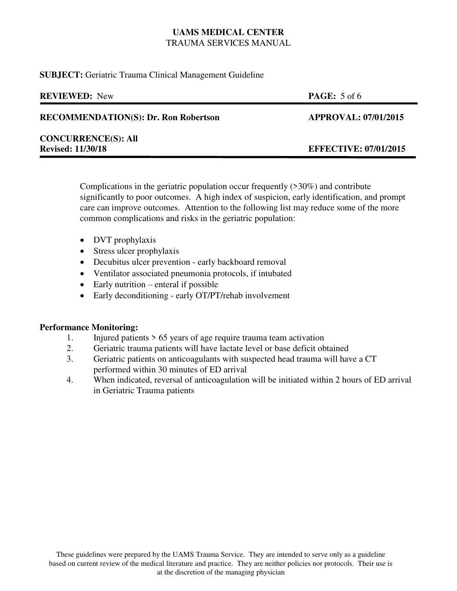#### **SUBJECT:** Geriatric Trauma Clinical Management Guideline

| <b>REVIEWED:</b> New                        | <b>PAGE:</b> $5$ of 6        |
|---------------------------------------------|------------------------------|
| <b>RECOMMENDATION(S): Dr. Ron Robertson</b> | <b>APPROVAL: 07/01/2015</b>  |
| <b>CONCURRENCE(S): All</b>                  |                              |
| <b>Revised: 11/30/18</b>                    | <b>EFFECTIVE: 07/01/2015</b> |
|                                             |                              |

Complications in the geriatric population occur frequently (>30%) and contribute significantly to poor outcomes. A high index of suspicion, early identification, and prompt care can improve outcomes. Attention to the following list may reduce some of the more common complications and risks in the geriatric population:

- DVT prophylaxis
- Stress ulcer prophylaxis
- Decubitus ulcer prevention early backboard removal
- Ventilator associated pneumonia protocols, if intubated
- Early nutrition enteral if possible
- Early deconditioning early OT/PT/rehab involvement

## **Performance Monitoring:**

- 1. Injured patients > 65 years of age require trauma team activation
- 2. Geriatric trauma patients will have lactate level or base deficit obtained
- 3. Geriatric patients on anticoagulants with suspected head trauma will have a CT performed within 30 minutes of ED arrival
- 4. When indicated, reversal of anticoagulation will be initiated within 2 hours of ED arrival in Geriatric Trauma patients